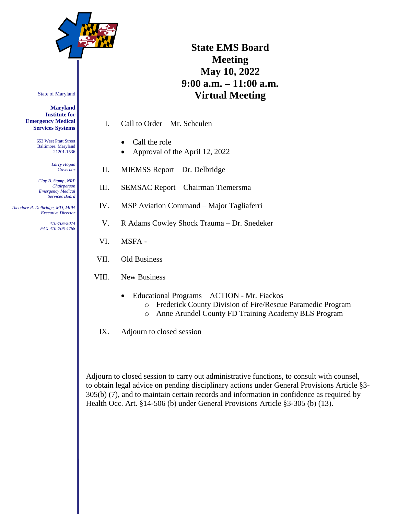

#### State of Maryland

**Maryland Institute for Emergency Medical Services Systems**

> 653 West Pratt Street Baltimore, Maryland 21201-1536

> > *Larry Hogan Governor*

*Clay B. Stamp, NRP Chairperson Emergency Medical Services Board*

 *Theodore R. Delbridge, MD, MPH Executive Director*

> *410-706-5074 FAX 410-706-4768*

# **State EMS Board Meeting May 10, 2022 9:00 a.m. – 11:00 a.m. Virtual Meeting**

I. Call to Order – Mr. Scheulen

- Call the role
- Approval of the April 12, 2022
- II. MIEMSS Report Dr. Delbridge
- III. SEMSAC Report Chairman Tiemersma
- IV. MSP Aviation Command Major Tagliaferri
- V. R Adams Cowley Shock Trauma Dr. Snedeker
- VI. MSFA -
- VII. Old Business
- VIII. New Business
	- Educational Programs ACTION Mr. Fiackos
		- o Frederick County Division of Fire/Rescue Paramedic Program
		- o Anne Arundel County FD Training Academy BLS Program
	- IX. Adjourn to closed session

Adjourn to closed session to carry out administrative functions, to consult with counsel, to obtain legal advice on pending disciplinary actions under General Provisions Article §3- 305(b) (7), and to maintain certain records and information in confidence as required by Health Occ. Art. §14-506 (b) under General Provisions Article §3-305 (b) (13).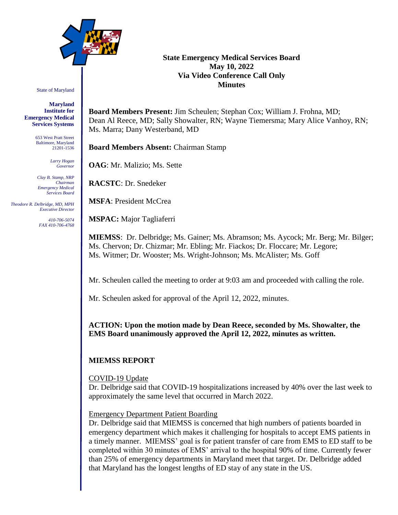

State of Maryland

**Maryland Institute for Emergency Medical Services Systems**

> 653 West Pratt Street Baltimore, Maryland 21201-1536

> > *Larry Hogan Governor*

*Clay B. Stamp, NRP Chairman Emergency Medical Services Board*

 *Theodore R. Delbridge, MD, MPH Executive Director*

> *410-706-5074 FAX 410-706-4768*

# **State Emergency Medical Services Board May 10, 2022 Via Video Conference Call Only Minutes**

**Board Members Present:** Jim Scheulen; Stephan Cox; William J. Frohna, MD; Dean Al Reece, MD; Sally Showalter, RN; Wayne Tiemersma; Mary Alice Vanhoy, RN; Ms. Marra; Dany Westerband, MD

**Board Members Absent:** Chairman Stamp

**OAG**: Mr. Malizio; Ms. Sette

**RACSTC**: Dr. Snedeker

**MSFA**: President McCrea

**MSPAC:** Major Tagliaferri

**MIEMSS**: Dr. Delbridge; Ms. Gainer; Ms. Abramson; Ms. Aycock; Mr. Berg; Mr. Bilger; Ms. Chervon; Dr. Chizmar; Mr. Ebling; Mr. Fiackos; Dr. Floccare; Mr. Legore; Ms. Witmer; Dr. Wooster; Ms. Wright-Johnson; Ms. McAlister; Ms. Goff

Mr. Scheulen called the meeting to order at 9:03 am and proceeded with calling the role.

Mr. Scheulen asked for approval of the April 12, 2022, minutes.

**ACTION: Upon the motion made by Dean Reece, seconded by Ms. Showalter, the EMS Board unanimously approved the April 12, 2022, minutes as written.**

# **MIEMSS REPORT**

COVID-19 Update

Dr. Delbridge said that COVID-19 hospitalizations increased by 40% over the last week to approximately the same level that occurred in March 2022.

Emergency Department Patient Boarding

Dr. Delbridge said that MIEMSS is concerned that high numbers of patients boarded in emergency department which makes it challenging for hospitals to accept EMS patients in a timely manner. MIEMSS' goal is for patient transfer of care from EMS to ED staff to be completed within 30 minutes of EMS' arrival to the hospital 90% of time. Currently fewer than 25% of emergency departments in Maryland meet that target. Dr. Delbridge added that Maryland has the longest lengths of ED stay of any state in the US.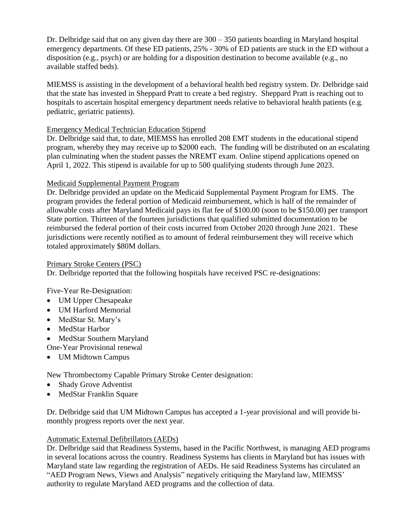Dr. Delbridge said that on any given day there are 300 – 350 patients boarding in Maryland hospital emergency departments. Of these ED patients, 25% - 30% of ED patients are stuck in the ED without a disposition (e.g., psych) or are holding for a disposition destination to become available (e.g., no available staffed beds).

MIEMSS is assisting in the development of a behavioral health bed registry system. Dr. Delbridge said that the state has invested in Sheppard Pratt to create a bed registry. Sheppard Pratt is reaching out to hospitals to ascertain hospital emergency department needs relative to behavioral health patients (e.g. pediatric, geriatric patients).

# Emergency Medical Technician Education Stipend

Dr. Delbridge said that, to date, MIEMSS has enrolled 208 EMT students in the educational stipend program, whereby they may receive up to \$2000 each. The funding will be distributed on an escalating plan culminating when the student passes the NREMT exam. Online stipend applications opened on April 1, 2022. This stipend is available for up to 500 qualifying students through June 2023.

# Medicaid Supplemental Payment Program

Dr. Delbridge provided an update on the Medicaid Supplemental Payment Program for EMS. The program provides the federal portion of Medicaid reimbursement, which is half of the remainder of allowable costs after Maryland Medicaid pays its flat fee of \$100.00 (soon to be \$150.00) per transport State portion. Thirteen of the fourteen jurisdictions that qualified submitted documentation to be reimbursed the federal portion of their costs incurred from October 2020 through June 2021. These jurisdictions were recently notified as to amount of federal reimbursement they will receive which totaled approximately \$80M dollars.

# Primary Stroke Centers (PSC)

Dr. Delbridge reported that the following hospitals have received PSC re-designations:

Five-Year Re-Designation:

- UM Upper Chesapeake
- UM Harford Memorial
- MedStar St. Mary's
- MedStar Harbor
- MedStar Southern Maryland

One-Year Provisional renewal

• UM Midtown Campus

New Thrombectomy Capable Primary Stroke Center designation:

- Shady Grove Adventist
- MedStar Franklin Square

Dr. Delbridge said that UM Midtown Campus has accepted a 1-year provisional and will provide bimonthly progress reports over the next year.

#### Automatic External Defibrillators (AEDs)

Dr. Delbridge said that Readiness Systems, based in the Pacific Northwest, is managing AED programs in several locations across the country. Readiness Systems has clients in Maryland but has issues with Maryland state law regarding the registration of AEDs. He said Readiness Systems has circulated an "AED Program News, Views and Analysis" negatively critiquing the Maryland law, MIEMSS' authority to regulate Maryland AED programs and the collection of data.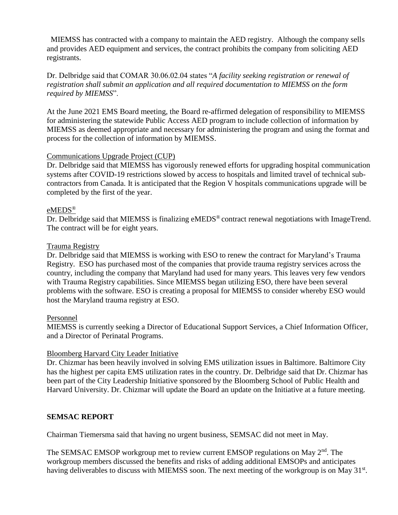MIEMSS has contracted with a company to maintain the AED registry. Although the company sells and provides AED equipment and services, the contract prohibits the company from soliciting AED registrants.

Dr. Delbridge said that COMAR 30.06.02.04 states "*A facility seeking registration or renewal of registration shall submit an application and all required documentation to MIEMSS on the form required by MIEMSS*".

At the June 2021 EMS Board meeting, the Board re-affirmed delegation of responsibility to MIEMSS for administering the statewide Public Access AED program to include collection of information by MIEMSS as deemed appropriate and necessary for administering the program and using the format and process for the collection of information by MIEMSS.

# Communications Upgrade Project (CUP)

Dr. Delbridge said that MIEMSS has vigorously renewed efforts for upgrading hospital communication systems after COVID-19 restrictions slowed by access to hospitals and limited travel of technical subcontractors from Canada. It is anticipated that the Region V hospitals communications upgrade will be completed by the first of the year.

# eMEDS®

Dr. Delbridge said that MIEMSS is finalizing eMEDS<sup>®</sup> contract renewal negotiations with ImageTrend. The contract will be for eight years.

# Trauma Registry

Dr. Delbridge said that MIEMSS is working with ESO to renew the contract for Maryland's Trauma Registry. ESO has purchased most of the companies that provide trauma registry services across the country, including the company that Maryland had used for many years. This leaves very few vendors with Trauma Registry capabilities. Since MIEMSS began utilizing ESO, there have been several problems with the software. ESO is creating a proposal for MIEMSS to consider whereby ESO would host the Maryland trauma registry at ESO.

#### Personnel

MIEMSS is currently seeking a Director of Educational Support Services, a Chief Information Officer, and a Director of Perinatal Programs.

# Bloomberg Harvard City Leader Initiative

Dr. Chizmar has been heavily involved in solving EMS utilization issues in Baltimore. Baltimore City has the highest per capita EMS utilization rates in the country. Dr. Delbridge said that Dr. Chizmar has been part of the City Leadership Initiative sponsored by the Bloomberg School of Public Health and Harvard University. Dr. Chizmar will update the Board an update on the Initiative at a future meeting.

# **SEMSAC REPORT**

Chairman Tiemersma said that having no urgent business, SEMSAC did not meet in May.

The SEMSAC EMSOP workgroup met to review current EMSOP regulations on May 2<sup>nd</sup>. The workgroup members discussed the benefits and risks of adding additional EMSOPs and anticipates having deliverables to discuss with MIEMSS soon. The next meeting of the workgroup is on May 31<sup>st</sup>.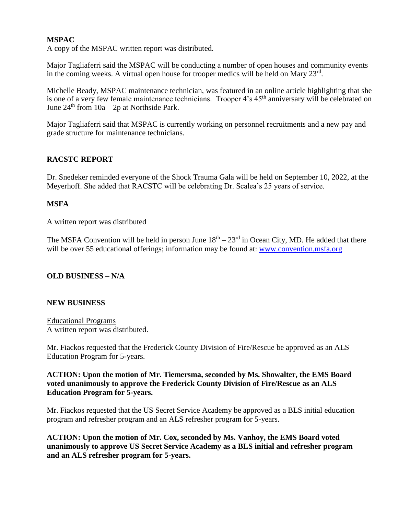# **MSPAC**

A copy of the MSPAC written report was distributed.

Major Tagliaferri said the MSPAC will be conducting a number of open houses and community events in the coming weeks. A virtual open house for trooper medics will be held on Mary 23rd.

Michelle Beady, MSPAC maintenance technician, was featured in an online article highlighting that she is one of a very few female maintenance technicians. Trooper 4's 45<sup>th</sup> anniversary will be celebrated on June  $24<sup>th</sup>$  from  $10a - 2p$  at Northside Park.

Major Tagliaferri said that MSPAC is currently working on personnel recruitments and a new pay and grade structure for maintenance technicians.

# **RACSTC REPORT**

Dr. Snedeker reminded everyone of the Shock Trauma Gala will be held on September 10, 2022, at the Meyerhoff. She added that RACSTC will be celebrating Dr. Scalea's 25 years of service.

# **MSFA**

A written report was distributed

The MSFA Convention will be held in person June  $18<sup>th</sup> - 23<sup>rd</sup>$  in Ocean City, MD. He added that there will be over 55 educational offerings; information may be found at: [www.convention.msfa.org](http://www.convention.msfa.org/)

# **OLD BUSINESS – N/A**

#### **NEW BUSINESS**

Educational Programs A written report was distributed.

Mr. Fiackos requested that the Frederick County Division of Fire/Rescue be approved as an ALS Education Program for 5-years.

# **ACTION: Upon the motion of Mr. Tiemersma, seconded by Ms. Showalter, the EMS Board voted unanimously to approve the Frederick County Division of Fire/Rescue as an ALS Education Program for 5-years.**

Mr. Fiackos requested that the US Secret Service Academy be approved as a BLS initial education program and refresher program and an ALS refresher program for 5-years.

**ACTION: Upon the motion of Mr. Cox, seconded by Ms. Vanhoy, the EMS Board voted unanimously to approve US Secret Service Academy as a BLS initial and refresher program and an ALS refresher program for 5-years.**